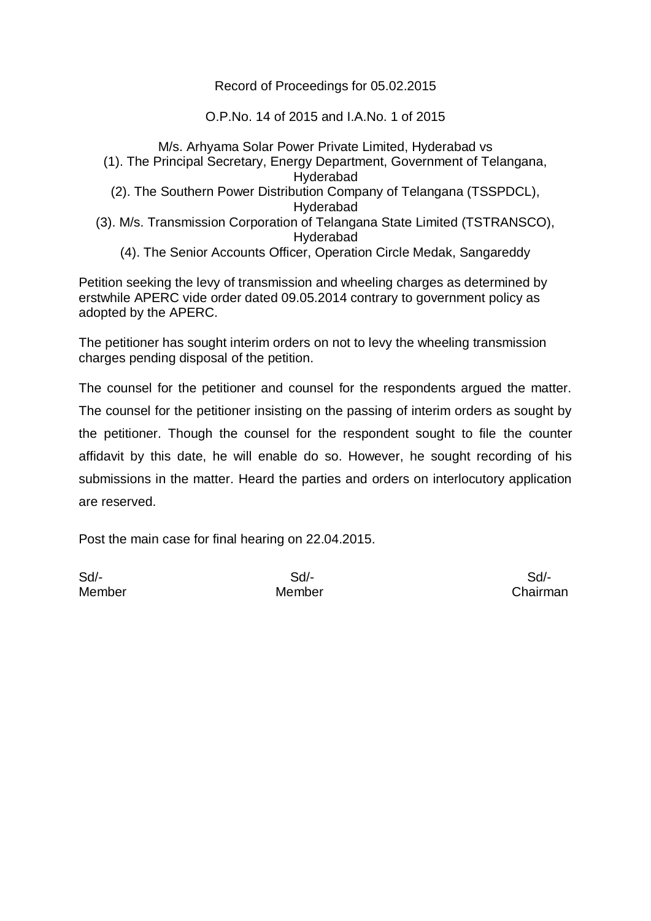### Record of Proceedings for 05.02.2015

O.P.No. 14 of 2015 and I.A.No. 1 of 2015

M/s. Arhyama Solar Power Private Limited, Hyderabad vs (1). The Principal Secretary, Energy Department, Government of Telangana, Hyderabad (2). The Southern Power Distribution Company of Telangana (TSSPDCL), Hyderabad (3). M/s. Transmission Corporation of Telangana State Limited (TSTRANSCO), Hyderabad (4). The Senior Accounts Officer, Operation Circle Medak, Sangareddy

Petition seeking the levy of transmission and wheeling charges as determined by erstwhile APERC vide order dated 09.05.2014 contrary to government policy as adopted by the APERC.

The petitioner has sought interim orders on not to levy the wheeling transmission charges pending disposal of the petition.

The counsel for the petitioner and counsel for the respondents argued the matter. The counsel for the petitioner insisting on the passing of interim orders as sought by the petitioner. Though the counsel for the respondent sought to file the counter affidavit by this date, he will enable do so. However, he sought recording of his submissions in the matter. Heard the parties and orders on interlocutory application are reserved.

Post the main case for final hearing on 22.04.2015.

Sd/- Sd/- Sd/-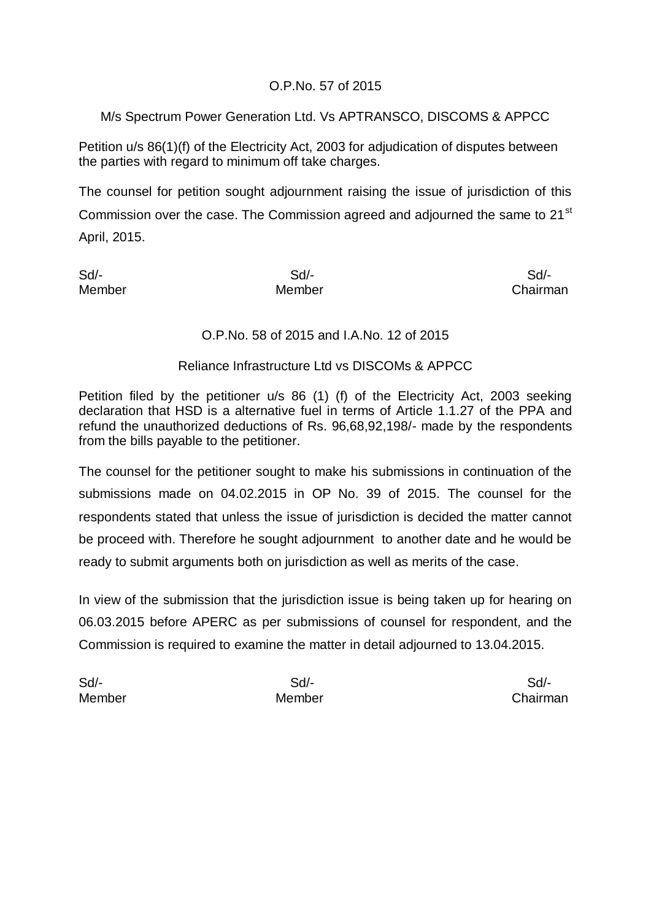## O.P.No. 57 of 2015

M/s Spectrum Power Generation Ltd. Vs APTRANSCO, DISCOMS & APPCC

Petition u/s 86(1)(f) of the Electricity Act, 2003 for adjudication of disputes between the parties with regard to minimum off take charges.

The counsel for petition sought adjournment raising the issue of jurisdiction of this Commission over the case. The Commission agreed and adjourned the same to  $21^{st}$ April, 2015.

Sd/- Sd/- Sd/- Member Member Chairman

## O.P.No. 58 of 2015 and I.A.No. 12 of 2015

#### Reliance Infrastructure Ltd vs DISCOMs & APPCC

Petition filed by the petitioner u/s 86 (1) (f) of the Electricity Act, 2003 seeking declaration that HSD is a alternative fuel in terms of Article 1.1.27 of the PPA and refund the unauthorized deductions of Rs. 96,68,92,198/- made by the respondents from the bills payable to the petitioner.

The counsel for the petitioner sought to make his submissions in continuation of the submissions made on 04.02.2015 in OP No. 39 of 2015. The counsel for the respondents stated that unless the issue of jurisdiction is decided the matter cannot be proceed with. Therefore he sought adjournment to another date and he would be ready to submit arguments both on jurisdiction as well as merits of the case.

In view of the submission that the jurisdiction issue is being taken up for hearing on 06.03.2015 before APERC as per submissions of counsel for respondent, and the Commission is required to examine the matter in detail adjourned to 13.04.2015.

Sd/- Sd/- Sd/- Member Member Chairman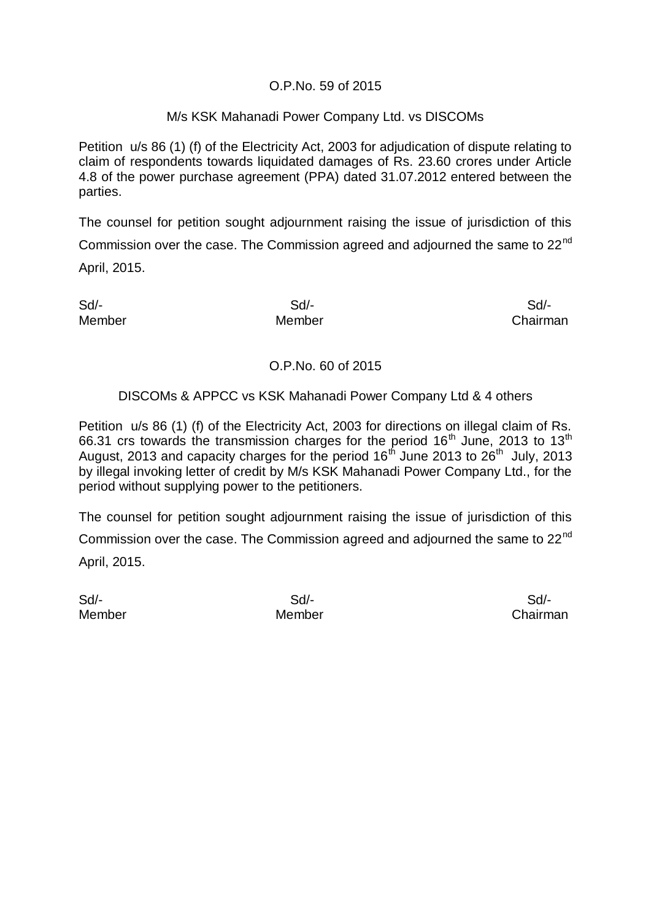### O.P.No. 59 of 2015

#### M/s KSK Mahanadi Power Company Ltd. vs DISCOMs

Petition u/s 86 (1) (f) of the Electricity Act, 2003 for adjudication of dispute relating to claim of respondents towards liquidated damages of Rs. 23.60 crores under Article 4.8 of the power purchase agreement (PPA) dated 31.07.2012 entered between the parties.

The counsel for petition sought adjournment raising the issue of jurisdiction of this Commission over the case. The Commission agreed and adjourned the same to  $22^{nd}$ April, 2015.

Sd/- Sd/- Sd/-

Member Member Chairman

### O.P.No. 60 of 2015

### DISCOMs & APPCC vs KSK Mahanadi Power Company Ltd & 4 others

Petition u/s 86 (1) (f) of the Electricity Act, 2003 for directions on illegal claim of Rs. 66.31 crs towards the transmission charges for the period  $16<sup>th</sup>$  June, 2013 to  $13<sup>th</sup>$ August, 2013 and capacity charges for the period 16<sup>th</sup> June 2013 to 26<sup>th</sup> July, 2013 by illegal invoking letter of credit by M/s KSK Mahanadi Power Company Ltd., for the period without supplying power to the petitioners.

The counsel for petition sought adjournment raising the issue of jurisdiction of this Commission over the case. The Commission agreed and adjourned the same to  $22^{nd}$ April, 2015.

Sd/- Sd/- Sd/-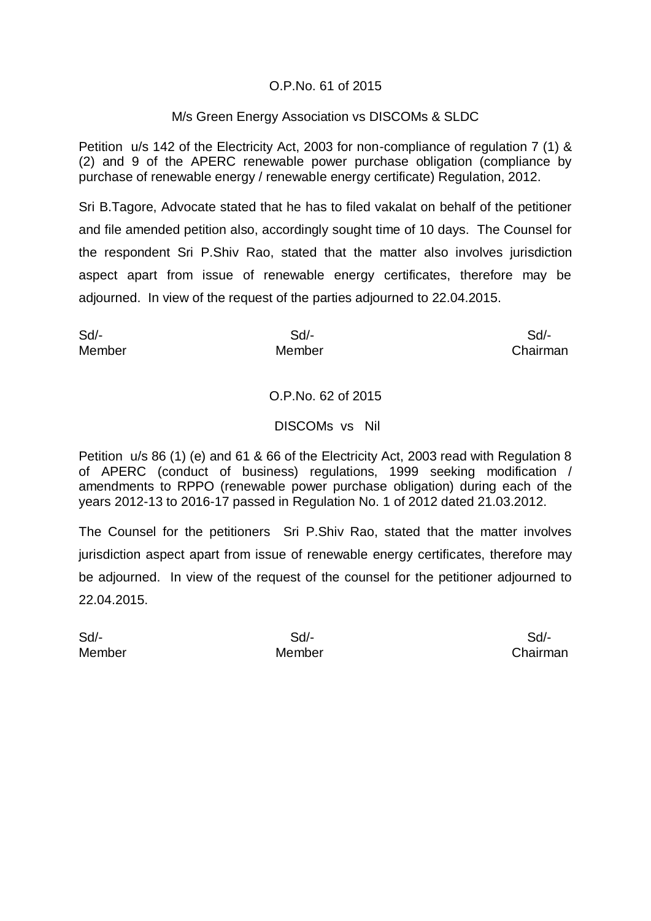### O.P.No. 61 of 2015

#### M/s Green Energy Association vs DISCOMs & SLDC

Petition u/s 142 of the Electricity Act, 2003 for non-compliance of regulation 7 (1) & (2) and 9 of the APERC renewable power purchase obligation (compliance by purchase of renewable energy / renewable energy certificate) Regulation, 2012.

Sri B.Tagore, Advocate stated that he has to filed vakalat on behalf of the petitioner and file amended petition also, accordingly sought time of 10 days. The Counsel for the respondent Sri P.Shiv Rao, stated that the matter also involves jurisdiction aspect apart from issue of renewable energy certificates, therefore may be adjourned. In view of the request of the parties adjourned to 22.04.2015.

Sd/- Sd/- Sd/- Member Member Chairman

### O.P.No. 62 of 2015

#### DISCOMs vs Nil

Petition u/s 86 (1) (e) and 61 & 66 of the Electricity Act, 2003 read with Regulation 8 of APERC (conduct of business) regulations, 1999 seeking modification / amendments to RPPO (renewable power purchase obligation) during each of the years 2012-13 to 2016-17 passed in Regulation No. 1 of 2012 dated 21.03.2012.

The Counsel for the petitioners Sri P.Shiv Rao, stated that the matter involves jurisdiction aspect apart from issue of renewable energy certificates, therefore may be adjourned. In view of the request of the counsel for the petitioner adjourned to 22.04.2015.

Sd/- Sd/- Sd/-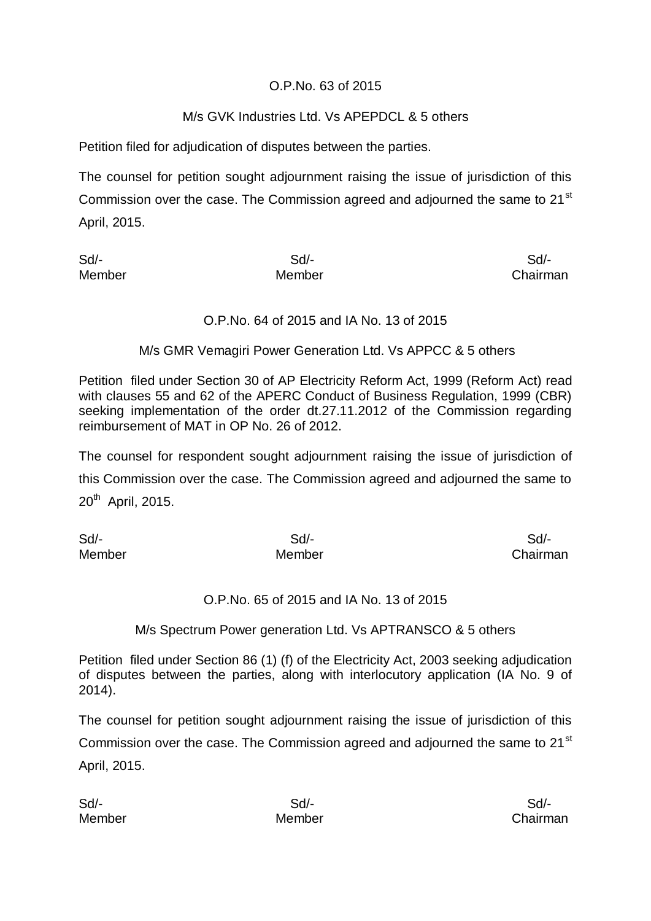## O.P.No. 63 of 2015

## M/s GVK Industries Ltd. Vs APEPDCL & 5 others

Petition filed for adjudication of disputes between the parties.

The counsel for petition sought adjournment raising the issue of jurisdiction of this Commission over the case. The Commission agreed and adjourned the same to  $21^{st}$ April, 2015.

| Sd/-   | Sd/-   | Sd/-     |
|--------|--------|----------|
| Member | Member | Chairman |

### O.P.No. 64 of 2015 and IA No. 13 of 2015

M/s GMR Vemagiri Power Generation Ltd. Vs APPCC & 5 others

Petition filed under Section 30 of AP Electricity Reform Act, 1999 (Reform Act) read with clauses 55 and 62 of the APERC Conduct of Business Regulation, 1999 (CBR) seeking implementation of the order dt.27.11.2012 of the Commission regarding reimbursement of MAT in OP No. 26 of 2012.

The counsel for respondent sought adjournment raising the issue of jurisdiction of this Commission over the case. The Commission agreed and adjourned the same to 20<sup>th</sup> April, 2015.

Sd/- Sd/- Sd/- Member Member Chairman

#### O.P.No. 65 of 2015 and IA No. 13 of 2015

#### M/s Spectrum Power generation Ltd. Vs APTRANSCO & 5 others

Petition filed under Section 86 (1) (f) of the Electricity Act, 2003 seeking adjudication of disputes between the parties, along with interlocutory application (IA No. 9 of 2014).

The counsel for petition sought adjournment raising the issue of jurisdiction of this Commission over the case. The Commission agreed and adjourned the same to 21<sup>st</sup> April, 2015.

| Sd/-   | Sd     | Sd/-     |
|--------|--------|----------|
| Member | Member | Chairman |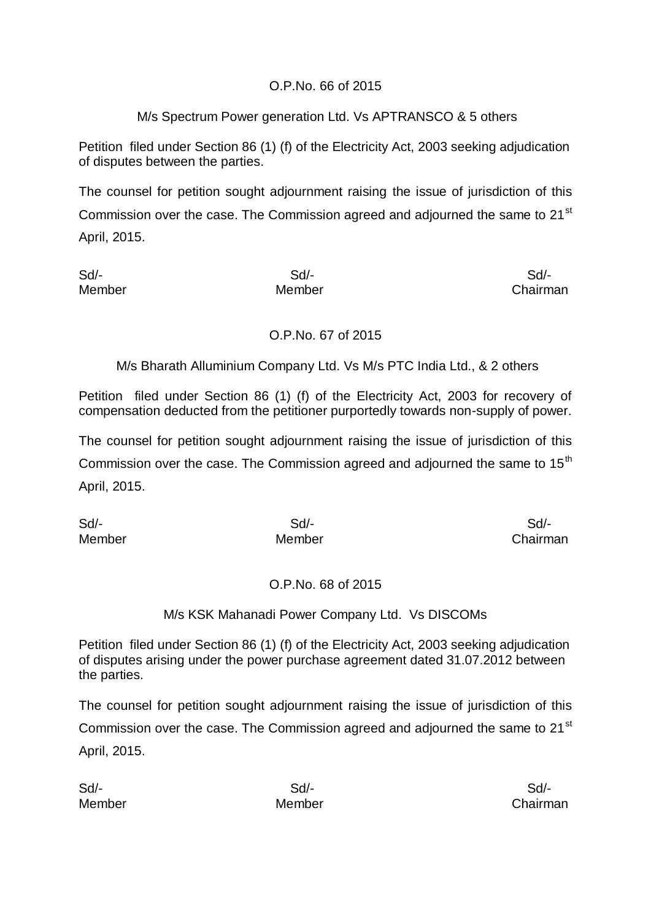## O.P.No. 66 of 2015

## M/s Spectrum Power generation Ltd. Vs APTRANSCO & 5 others

Petition filed under Section 86 (1) (f) of the Electricity Act, 2003 seeking adjudication of disputes between the parties.

The counsel for petition sought adjournment raising the issue of jurisdiction of this Commission over the case. The Commission agreed and adjourned the same to  $21^{st}$ April, 2015.

Sd/- Sd/- Sd/- Member Member Chairman

## O.P.No. 67 of 2015

M/s Bharath Alluminium Company Ltd. Vs M/s PTC India Ltd., & 2 others

Petition filed under Section 86 (1) (f) of the Electricity Act, 2003 for recovery of compensation deducted from the petitioner purportedly towards non-supply of power.

The counsel for petition sought adjournment raising the issue of jurisdiction of this Commission over the case. The Commission agreed and adjourned the same to 15<sup>th</sup> April, 2015.

Sd/- Sd/- Sd/-

Member Member Chairman

## O.P.No. 68 of 2015

M/s KSK Mahanadi Power Company Ltd. Vs DISCOMs

Petition filed under Section 86 (1) (f) of the Electricity Act, 2003 seeking adjudication of disputes arising under the power purchase agreement dated 31.07.2012 between the parties.

The counsel for petition sought adjournment raising the issue of jurisdiction of this Commission over the case. The Commission agreed and adjourned the same to  $21^{st}$ April, 2015.

Sd/- Sd/- Sd/-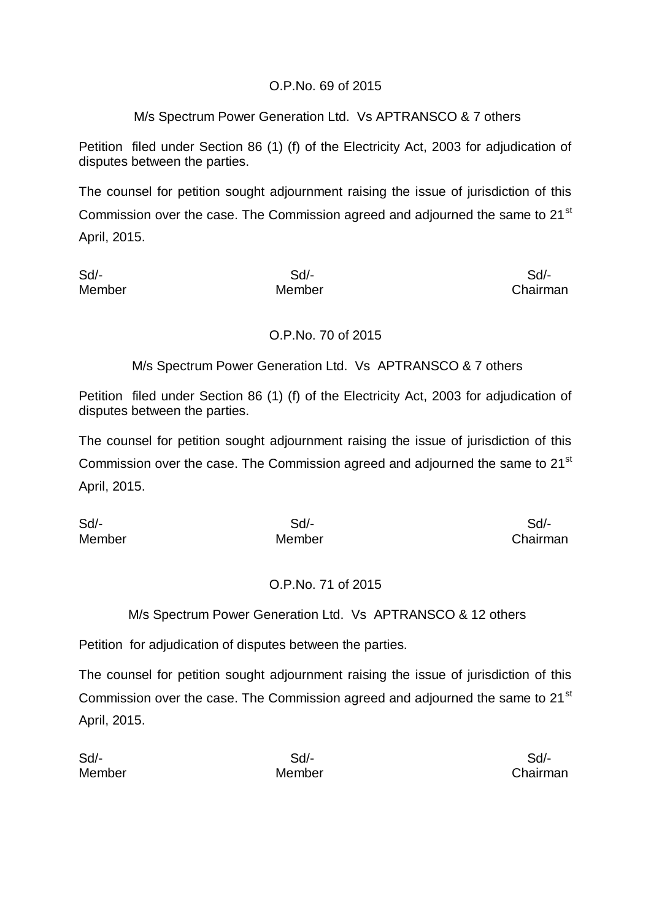## O.P.No. 69 of 2015

## M/s Spectrum Power Generation Ltd. Vs APTRANSCO & 7 others

Petition filed under Section 86 (1) (f) of the Electricity Act, 2003 for adjudication of disputes between the parties.

The counsel for petition sought adjournment raising the issue of jurisdiction of this Commission over the case. The Commission agreed and adjourned the same to  $21^{st}$ April, 2015.

Sd/- Sd/- Sd/- Member Member Chairman

## O.P.No. 70 of 2015

M/s Spectrum Power Generation Ltd. Vs APTRANSCO & 7 others

Petition filed under Section 86 (1) (f) of the Electricity Act, 2003 for adjudication of disputes between the parties.

The counsel for petition sought adjournment raising the issue of jurisdiction of this Commission over the case. The Commission agreed and adjourned the same to 21<sup>st</sup> April, 2015.

Sd/- Sd/- Sd/- Member Member Chairman

## O.P.No. 71 of 2015

## M/s Spectrum Power Generation Ltd. Vs APTRANSCO & 12 others

Petition for adjudication of disputes between the parties.

The counsel for petition sought adjournment raising the issue of jurisdiction of this Commission over the case. The Commission agreed and adjourned the same to 21<sup>st</sup> April, 2015.

| Sd     | Sd/-   | Sd/-     |
|--------|--------|----------|
| Member | Member | Chairman |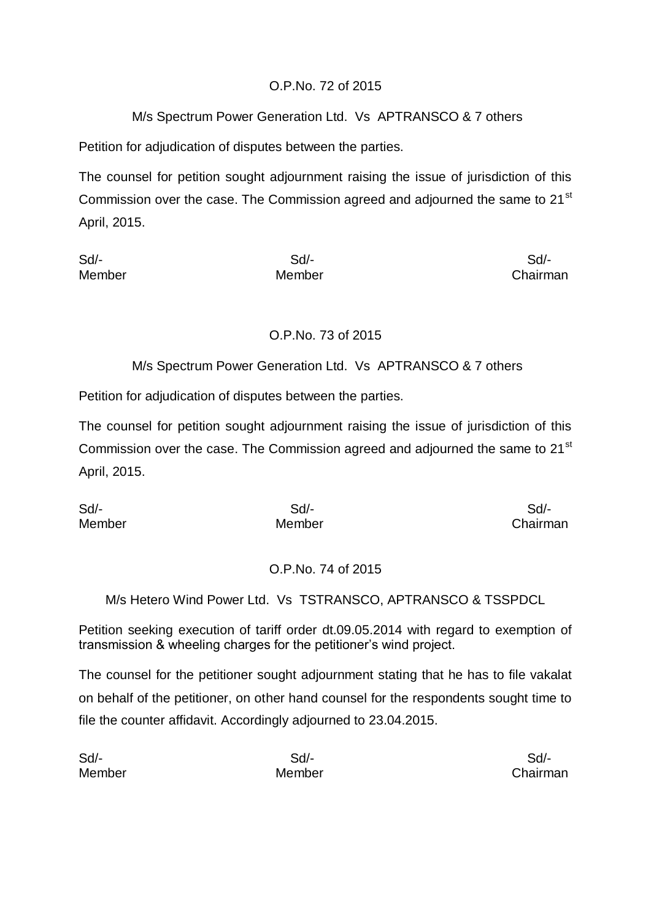# O.P.No. 72 of 2015

# M/s Spectrum Power Generation Ltd. Vs APTRANSCO & 7 others

Petition for adjudication of disputes between the parties.

The counsel for petition sought adjournment raising the issue of jurisdiction of this Commission over the case. The Commission agreed and adjourned the same to  $21^{st}$ April, 2015.

| Sd     | Sd/-   | Sd       |
|--------|--------|----------|
| Member | Member | Chairman |

# O.P.No. 73 of 2015

M/s Spectrum Power Generation Ltd. Vs APTRANSCO & 7 others

Petition for adjudication of disputes between the parties.

The counsel for petition sought adjournment raising the issue of jurisdiction of this Commission over the case. The Commission agreed and adjourned the same to 21<sup>st</sup> April, 2015.

| Sd     | Sd/-   | Sd/-     |
|--------|--------|----------|
| Member | Member | Chairman |

## O.P.No. 74 of 2015

M/s Hetero Wind Power Ltd. Vs TSTRANSCO, APTRANSCO & TSSPDCL

Petition seeking execution of tariff order dt.09.05.2014 with regard to exemption of transmission & wheeling charges for the petitioner's wind project.

The counsel for the petitioner sought adjournment stating that he has to file vakalat on behalf of the petitioner, on other hand counsel for the respondents sought time to file the counter affidavit. Accordingly adjourned to 23.04.2015.

| Sd/-   | Sd/-   | Sd/-     |
|--------|--------|----------|
| Member | Member | Chairman |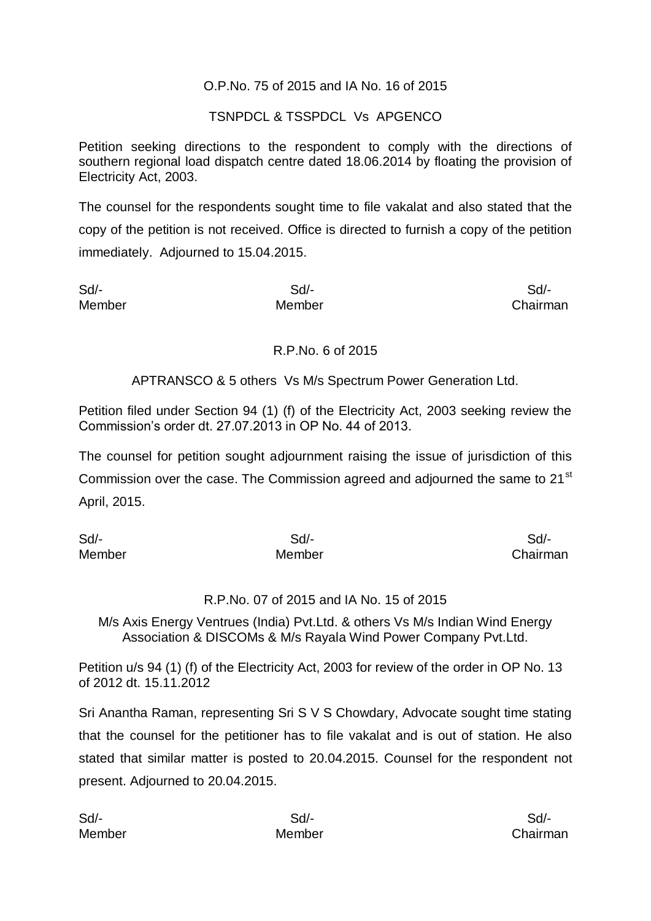### O.P.No. 75 of 2015 and IA No. 16 of 2015

### TSNPDCL & TSSPDCL Vs APGENCO

Petition seeking directions to the respondent to comply with the directions of southern regional load dispatch centre dated 18.06.2014 by floating the provision of Electricity Act, 2003.

The counsel for the respondents sought time to file vakalat and also stated that the copy of the petition is not received. Office is directed to furnish a copy of the petition immediately. Adjourned to 15.04.2015.

| Sd     | Sd/-   | Sd/-     |
|--------|--------|----------|
| Member | Member | Chairman |

#### R.P.No. 6 of 2015

### APTRANSCO & 5 others Vs M/s Spectrum Power Generation Ltd.

Petition filed under Section 94 (1) (f) of the Electricity Act, 2003 seeking review the Commission's order dt. 27.07.2013 in OP No. 44 of 2013.

The counsel for petition sought adjournment raising the issue of jurisdiction of this Commission over the case. The Commission agreed and adjourned the same to 21<sup>st</sup> April, 2015.

| Sd     | Sd/-   | Sd/-     |
|--------|--------|----------|
| Member | Member | Chairman |

#### R.P.No. 07 of 2015 and IA No. 15 of 2015

M/s Axis Energy Ventrues (India) Pvt.Ltd. & others Vs M/s Indian Wind Energy Association & DISCOMs & M/s Rayala Wind Power Company Pvt.Ltd.

Petition u/s 94 (1) (f) of the Electricity Act, 2003 for review of the order in OP No. 13 of 2012 dt. 15.11.2012

Sri Anantha Raman, representing Sri S V S Chowdary, Advocate sought time stating that the counsel for the petitioner has to file vakalat and is out of station. He also stated that similar matter is posted to 20.04.2015. Counsel for the respondent not present. Adjourned to 20.04.2015.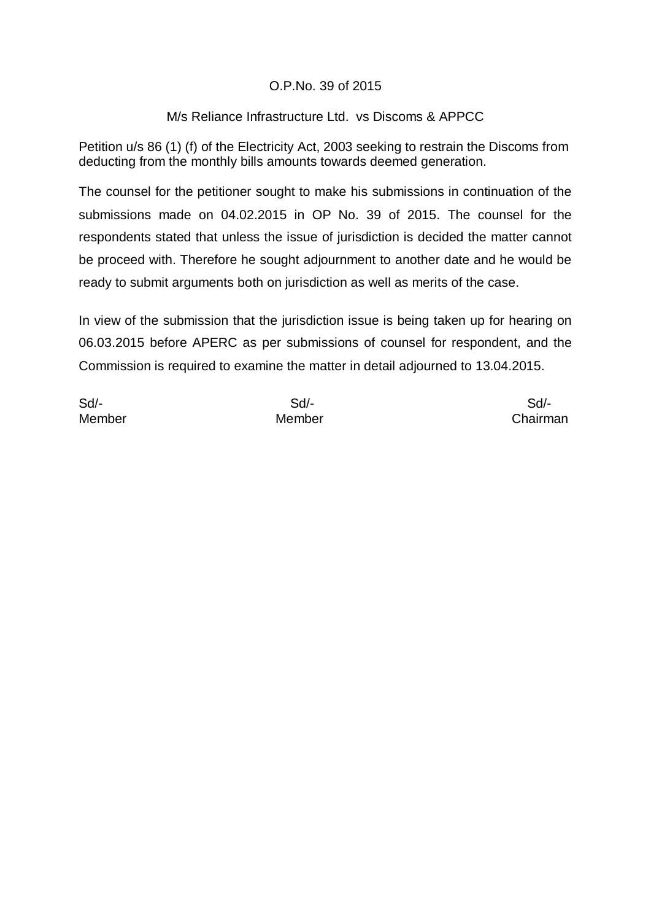## O.P.No. 39 of 2015

### M/s Reliance Infrastructure Ltd. vs Discoms & APPCC

Petition u/s 86 (1) (f) of the Electricity Act, 2003 seeking to restrain the Discoms from deducting from the monthly bills amounts towards deemed generation.

The counsel for the petitioner sought to make his submissions in continuation of the submissions made on 04.02.2015 in OP No. 39 of 2015. The counsel for the respondents stated that unless the issue of jurisdiction is decided the matter cannot be proceed with. Therefore he sought adjournment to another date and he would be ready to submit arguments both on jurisdiction as well as merits of the case.

In view of the submission that the jurisdiction issue is being taken up for hearing on 06.03.2015 before APERC as per submissions of counsel for respondent, and the Commission is required to examine the matter in detail adjourned to 13.04.2015.

Sd/- Sd/- Sd/-